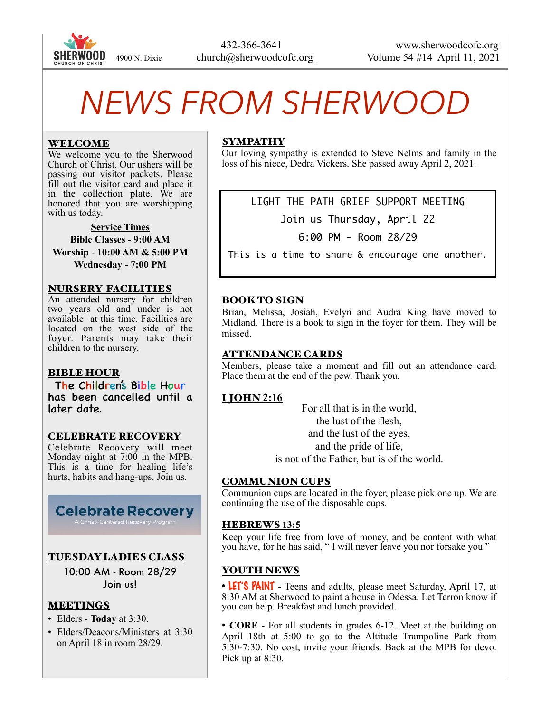

# *NEWS FROM SHERWOOD*

#### WELCOME

We welcome you to the Sherwood Church of Christ. Our ushers will be passing out visitor packets. Please fill out the visitor card and place it in the collection plate. We are honored that you are worshipping with us today.

**Service Times Bible Classes - 9:00 AM Worship - 10:00 AM & 5:00 PM Wednesday - 7:00 PM** 

#### NURSERY FACILITIES

An attended nursery for children two years old and under is not available at this time. Facilities are located on the west side of the foyer. Parents may take their children to the nursery.

#### BIBLE HOUR

The Children's Bible Hour has been cancelled until a later date.

#### CELEBRATE RECOVERY

Celebrate Recovery will meet Monday night at  $7:00$  in the MPB. This is a time for healing life's hurts, habits and hang-ups. Join us.

# **Celebrate Recovery**

## TUESDAY LADIES CLASS

10:00 AM - Room 28/29 Join us!

## MEETINGS

- Elders **Today** at 3:30.
- Elders/Deacons/Ministers at 3:30 on April 18 in room 28/29.

## SYMPATHY

Our loving sympathy is extended to Steve Nelms and family in the loss of his niece, Dedra Vickers. She passed away April 2, 2021.

LIGHT THE PATH GRIEF SUPPORT MEETING

Join us Thursday, April 22

6:00 PM - Room 28/29

This is a time to share & encourage one another.

# BOOK TO SIGN

Brian, Melissa, Josiah, Evelyn and Audra King have moved to Midland. There is a book to sign in the foyer for them. They will be missed.

#### ATTENDANCE CARDS

Members, please take a moment and fill out an attendance card. Place them at the end of the pew. Thank you.

# I JOHN **2:16**

For all that is in the world, the lust of the flesh, and the lust of the eyes, and the pride of life, is not of the Father, but is of the world.

#### COMMUNION CUPS

Communion cups are located in the foyer, please pick one up. We are continuing the use of the disposable cups.

#### HEBREWS **13:5**

Keep your life free from love of money, and be content with what you have, for he has said, " I will never leave you nor forsake you."

## YOUTH NEWS

• LET'S PAINT - Teens and adults, please meet Saturday, April 17, at 8:30 AM at Sherwood to paint a house in Odessa. Let Terron know if you can help. Breakfast and lunch provided.

• **CORE** - For all students in grades 6-12. Meet at the building on April 18th at 5:00 to go to the Altitude Trampoline Park from 5:30-7:30. No cost, invite your friends. Back at the MPB for devo. Pick up at 8:30.